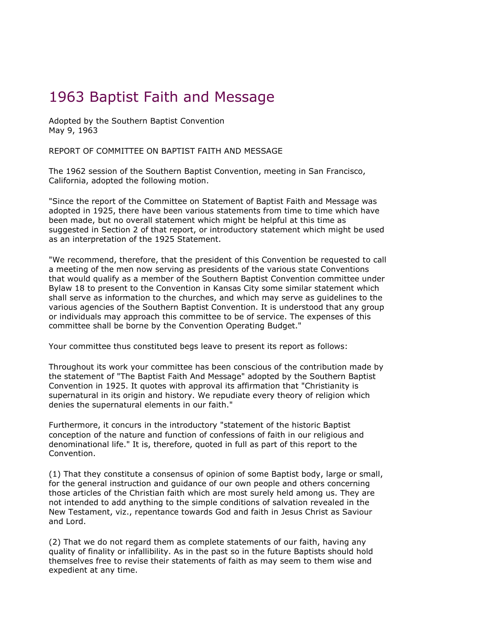# 1963 Baptist Faith and Message

Adopted by the Southern Baptist Convention May 9, 1963

REPORT OF COMMITTEE ON BAPTIST FAITH AND MESSAGE

The 1962 session of the Southern Baptist Convention, meeting in San Francisco, California, adopted the following motion.

"Since the report of the Committee on Statement of Baptist Faith and Message was adopted in 1925, there have been various statements from time to time which have been made, but no overall statement which might be helpful at this time as suggested in Section 2 of that report, or introductory statement which might be used as an interpretation of the 1925 Statement.

"We recommend, therefore, that the president of this Convention be requested to call a meeting of the men now serving as presidents of the various state Conventions that would qualify as a member of the Southern Baptist Convention committee under Bylaw 18 to present to the Convention in Kansas City some similar statement which shall serve as information to the churches, and which may serve as guidelines to the various agencies of the Southern Baptist Convention. It is understood that any group or individuals may approach this committee to be of service. The expenses of this committee shall be borne by the Convention Operating Budget."

Your committee thus constituted begs leave to present its report as follows:

Throughout its work your committee has been conscious of the contribution made by the statement of "The Baptist Faith And Message" adopted by the Southern Baptist Convention in 1925. It quotes with approval its affirmation that "Christianity is supernatural in its origin and history. We repudiate every theory of religion which denies the supernatural elements in our faith."

Furthermore, it concurs in the introductory "statement of the historic Baptist conception of the nature and function of confessions of faith in our religious and denominational life." It is, therefore, quoted in full as part of this report to the Convention.

(1) That they constitute a consensus of opinion of some Baptist body, large or small, for the general instruction and guidance of our own people and others concerning those articles of the Christian faith which are most surely held among us. They are not intended to add anything to the simple conditions of salvation revealed in the New Testament, viz., repentance towards God and faith in Jesus Christ as Saviour and Lord.

(2) That we do not regard them as complete statements of our faith, having any quality of finality or infallibility. As in the past so in the future Baptists should hold themselves free to revise their statements of faith as may seem to them wise and expedient at any time.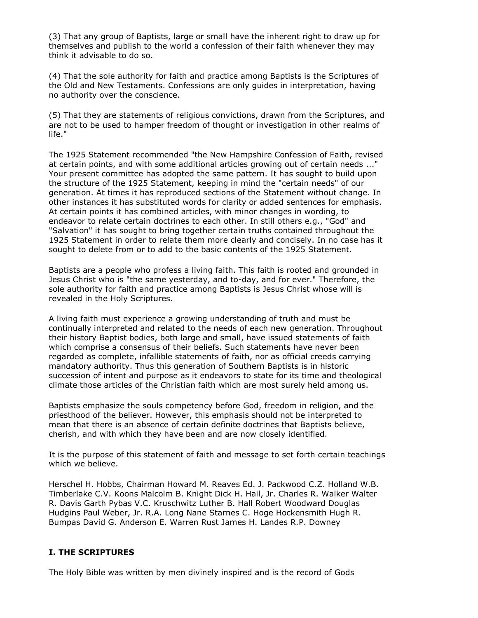(3) That any group of Baptists, large or small have the inherent right to draw up for themselves and publish to the world a confession of their faith whenever they may think it advisable to do so.

(4) That the sole authority for faith and practice among Baptists is the Scriptures of the Old and New Testaments. Confessions are only guides in interpretation, having no authority over the conscience.

(5) That they are statements of religious convictions, drawn from the Scriptures, and are not to be used to hamper freedom of thought or investigation in other realms of life."

The 1925 Statement recommended "the New Hampshire Confession of Faith, revised at certain points, and with some additional articles growing out of certain needs ..." Your present committee has adopted the same pattern. It has sought to build upon the structure of the 1925 Statement, keeping in mind the "certain needs" of our generation. At times it has reproduced sections of the Statement without change. In other instances it has substituted words for clarity or added sentences for emphasis. At certain points it has combined articles, with minor changes in wording, to endeavor to relate certain doctrines to each other. In still others e.g., "God" and "Salvation" it has sought to bring together certain truths contained throughout the 1925 Statement in order to relate them more clearly and concisely. In no case has it sought to delete from or to add to the basic contents of the 1925 Statement.

Baptists are a people who profess a living faith. This faith is rooted and grounded in Jesus Christ who is "the same yesterday, and to-day, and for ever." Therefore, the sole authority for faith and practice among Baptists is Jesus Christ whose will is revealed in the Holy Scriptures.

A living faith must experience a growing understanding of truth and must be continually interpreted and related to the needs of each new generation. Throughout their history Baptist bodies, both large and small, have issued statements of faith which comprise a consensus of their beliefs. Such statements have never been regarded as complete, infallible statements of faith, nor as official creeds carrying mandatory authority. Thus this generation of Southern Baptists is in historic succession of intent and purpose as it endeavors to state for its time and theological climate those articles of the Christian faith which are most surely held among us.

Baptists emphasize the souls competency before God, freedom in religion, and the priesthood of the believer. However, this emphasis should not be interpreted to mean that there is an absence of certain definite doctrines that Baptists believe, cherish, and with which they have been and are now closely identified.

It is the purpose of this statement of faith and message to set forth certain teachings which we believe.

Herschel H. Hobbs, Chairman Howard M. Reaves Ed. J. Packwood C.Z. Holland W.B. Timberlake C.V. Koons Malcolm B. Knight Dick H. Hail, Jr. Charles R. Walker Walter R. Davis Garth Pybas V.C. Kruschwitz Luther B. Hall Robert Woodward Douglas Hudgins Paul Weber, Jr. R.A. Long Nane Starnes C. Hoge Hockensmith Hugh R. Bumpas David G. Anderson E. Warren Rust James H. Landes R.P. Downey

# I. THE SCRIPTURES

The Holy Bible was written by men divinely inspired and is the record of Gods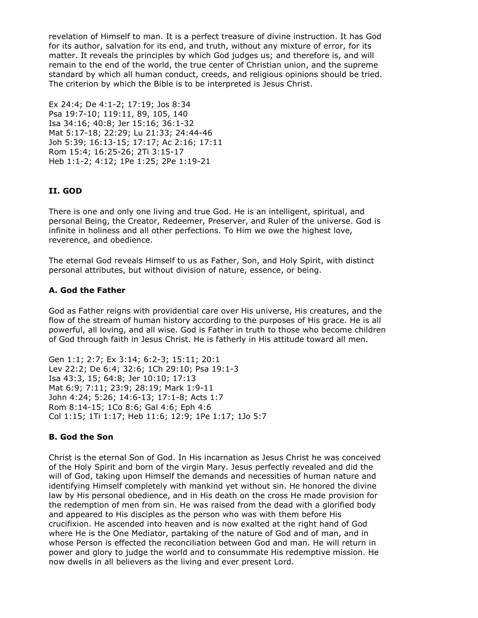revelation of Himself to man. It is a perfect treasure of divine instruction. It has God for its author, salvation for its end, and truth, without any mixture of error, for its matter. It reveals the principles by which God judges us; and therefore is, and will remain to the end of the world, the true center of Christian union, and the supreme standard by which all human conduct, creeds, and religious opinions should be tried. The criterion by which the Bible is to be interpreted is Jesus Christ.

Ex 24:4; De 4:1-2; 17:19; Jos 8:34 Psa 19:7-10; 119:11, 89, 105, 140 Isa 34:16; 40:8; Jer 15:16; 36:1-32 Mat 5:17-18; 22:29; Lu 21:33; 24:44-46 Joh 5:39; 16:13-15; 17:17; Ac 2:16; 17:11 Rom 15:4; 16:25-26; 2Ti 3:15-17 Heb 1:1-2; 4:12; 1Pe 1:25; 2Pe 1:19-21

# II. GOD

There is one and only one living and true God. He is an intelligent, spiritual, and personal Being, the Creator, Redeemer, Preserver, and Ruler of the universe. God is infinite in holiness and all other perfections. To Him we owe the highest love, reverence, and obedience.

The eternal God reveals Himself to us as Father, Son, and Holy Spirit, with distinct personal attributes, but without division of nature, essence, or being.

#### A. God the Father

God as Father reigns with providential care over His universe, His creatures, and the flow of the stream of human history according to the purposes of His grace. He is all powerful, all loving, and all wise. God is Father in truth to those who become children of God through faith in Jesus Christ. He is fatherly in His attitude toward all men.

Gen 1:1; 2:7; Ex 3:14; 6:2-3; 15:11; 20:1 Lev 22:2; De 6:4; 32:6; 1Ch 29:10; Psa 19:1-3 Isa 43:3, 15; 64:8; Jer 10:10; 17:13 Mat 6:9; 7:11; 23:9; 28:19; Mark 1:9-11 John 4:24; 5:26; 14:6-13; 17:1-8; Acts 1:7 Rom 8:14-15; 1Co 8:6; Gal 4:6; Eph 4:6 Col 1:15; 1Ti 1:17; Heb 11:6; 12:9; 1Pe 1:17; 1Jo 5:7

# B. God the Son

Christ is the eternal Son of God. In His incarnation as Jesus Christ he was conceived of the Holy Spirit and born of the virgin Mary. Jesus perfectly revealed and did the will of God, taking upon Himself the demands and necessities of human nature and identifying Himself completely with mankind yet without sin. He honored the divine law by His personal obedience, and in His death on the cross He made provision for the redemption of men from sin. He was raised from the dead with a glorified body and appeared to His disciples as the person who was with them before His crucifixion. He ascended into heaven and is now exalted at the right hand of God where He is the One Mediator, partaking of the nature of God and of man, and in whose Person is effected the reconciliation between God and man. He will return in power and glory to judge the world and to consummate His redemptive mission. He now dwells in all believers as the living and ever present Lord.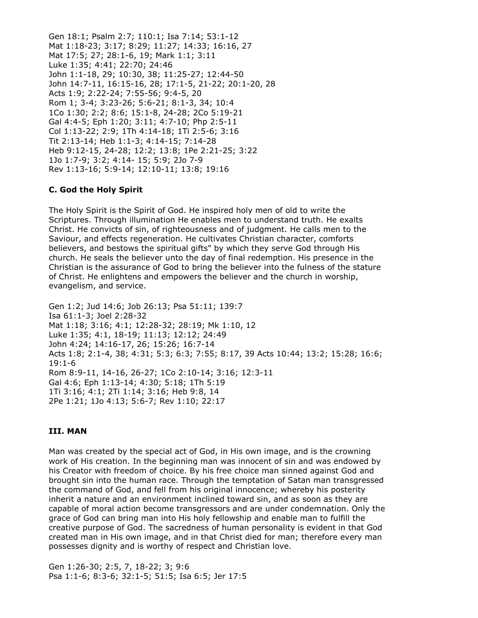Gen 18:1; Psalm 2:7; 110:1; Isa 7:14; 53:1-12 Mat 1:18-23; 3:17; 8:29; 11:27; 14:33; 16:16, 27 Mat 17:5; 27; 28:1-6, 19; Mark 1:1; 3:11 Luke 1:35; 4:41; 22:70; 24:46 John 1:1-18, 29; 10:30, 38; 11:25-27; 12:44-50 John 14:7-11, 16:15-16, 28; 17:1-5, 21-22; 20:1-20, 28 Acts 1:9; 2:22-24; 7:55-56; 9:4-5, 20 Rom 1; 3-4; 3:23-26; 5:6-21; 8:1-3, 34; 10:4 1Co 1:30; 2:2; 8:6; 15:1-8, 24-28; 2Co 5:19-21 Gal 4:4-5; Eph 1:20; 3:11; 4:7-10; Php 2:5-11 Col 1:13-22; 2:9; 1Th 4:14-18; 1Ti 2:5-6; 3:16 Tit 2:13-14; Heb 1:1-3; 4:14-15; 7:14-28 Heb 9:12-15, 24-28; 12:2; 13:8; 1Pe 2:21-25; 3:22 1Jo 1:7-9; 3:2; 4:14- 15; 5:9; 2Jo 7-9 Rev 1:13-16; 5:9-14; 12:10-11; 13:8; 19:16

# C. God the Holy Spirit

The Holy Spirit is the Spirit of God. He inspired holy men of old to write the Scriptures. Through illumination He enables men to understand truth. He exalts Christ. He convicts of sin, of righteousness and of judgment. He calls men to the Saviour, and effects regeneration. He cultivates Christian character, comforts believers, and bestows the spiritual gifts" by which they serve God through His church. He seals the believer unto the day of final redemption. His presence in the Christian is the assurance of God to bring the believer into the fulness of the stature of Christ. He enlightens and empowers the believer and the church in worship, evangelism, and service.

Gen 1:2; Jud 14:6; Job 26:13; Psa 51:11; 139:7 Isa 61:1-3; Joel 2:28-32 Mat 1:18; 3:16; 4:1; 12:28-32; 28:19; Mk 1:10, 12 Luke 1:35; 4:1, 18-19; 11:13; 12:12; 24:49 John 4:24; 14:16-17, 26; 15:26; 16:7-14 Acts 1:8; 2:1-4, 38; 4:31; 5:3; 6:3; 7:55; 8:17, 39 Acts 10:44; 13:2; 15:28; 16:6; 19:1-6 Rom 8:9-11, 14-16, 26-27; 1Co 2:10-14; 3:16; 12:3-11 Gal 4:6; Eph 1:13-14; 4:30; 5:18; 1Th 5:19 1Ti 3:16; 4:1; 2Ti 1:14; 3:16; Heb 9:8, 14 2Pe 1:21; 1Jo 4:13; 5:6-7; Rev 1:10; 22:17

# III. MAN

Man was created by the special act of God, in His own image, and is the crowning work of His creation. In the beginning man was innocent of sin and was endowed by his Creator with freedom of choice. By his free choice man sinned against God and brought sin into the human race. Through the temptation of Satan man transgressed the command of God, and fell from his original innocence; whereby his posterity inherit a nature and an environment inclined toward sin, and as soon as they are capable of moral action become transgressors and are under condemnation. Only the grace of God can bring man into His holy fellowship and enable man to fulfill the creative purpose of God. The sacredness of human personality is evident in that God created man in His own image, and in that Christ died for man; therefore every man possesses dignity and is worthy of respect and Christian love.

Gen 1:26-30; 2:5, 7, 18-22; 3; 9:6 Psa 1:1-6; 8:3-6; 32:1-5; 51:5; Isa 6:5; Jer 17:5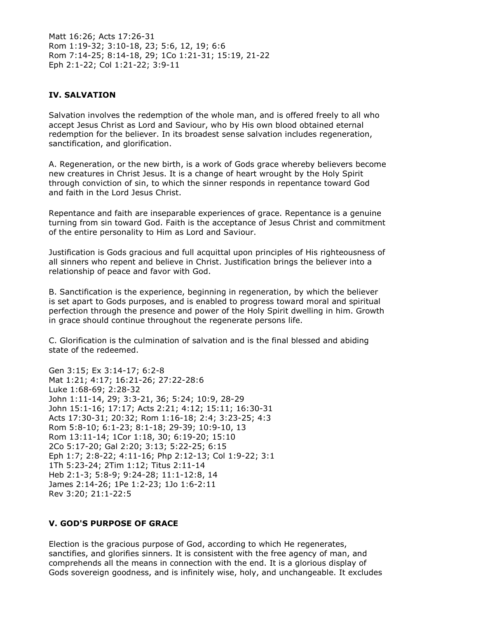Matt 16:26; Acts 17:26-31 Rom 1:19-32; 3:10-18, 23; 5:6, 12, 19; 6:6 Rom 7:14-25; 8:14-18, 29; 1Co 1:21-31; 15:19, 21-22 Eph 2:1-22; Col 1:21-22; 3:9-11

# IV. SALVATION

Salvation involves the redemption of the whole man, and is offered freely to all who accept Jesus Christ as Lord and Saviour, who by His own blood obtained eternal redemption for the believer. In its broadest sense salvation includes regeneration, sanctification, and glorification.

A. Regeneration, or the new birth, is a work of Gods grace whereby believers become new creatures in Christ Jesus. It is a change of heart wrought by the Holy Spirit through conviction of sin, to which the sinner responds in repentance toward God and faith in the Lord Jesus Christ.

Repentance and faith are inseparable experiences of grace. Repentance is a genuine turning from sin toward God. Faith is the acceptance of Jesus Christ and commitment of the entire personality to Him as Lord and Saviour.

Justification is Gods gracious and full acquittal upon principles of His righteousness of all sinners who repent and believe in Christ. Justification brings the believer into a relationship of peace and favor with God.

B. Sanctification is the experience, beginning in regeneration, by which the believer is set apart to Gods purposes, and is enabled to progress toward moral and spiritual perfection through the presence and power of the Holy Spirit dwelling in him. Growth in grace should continue throughout the regenerate persons life.

C. Glorification is the culmination of salvation and is the final blessed and abiding state of the redeemed.

Gen 3:15; Ex 3:14-17; 6:2-8 Mat 1:21; 4:17; 16:21-26; 27:22-28:6 Luke 1:68-69; 2:28-32 John 1:11-14, 29; 3:3-21, 36; 5:24; 10:9, 28-29 John 15:1-16; 17:17; Acts 2:21; 4:12; 15:11; 16:30-31 Acts 17:30-31; 20:32; Rom 1:16-18; 2:4; 3:23-25; 4:3 Rom 5:8-10; 6:1-23; 8:1-18; 29-39; 10:9-10, 13 Rom 13:11-14; 1Cor 1:18, 30; 6:19-20; 15:10 2Co 5:17-20; Gal 2:20; 3:13; 5:22-25; 6:15 Eph 1:7; 2:8-22; 4:11-16; Php 2:12-13; Col 1:9-22; 3:1 1Th 5:23-24; 2Tim 1:12; Titus 2:11-14 Heb 2:1-3; 5:8-9; 9:24-28; 11:1-12:8, 14 James 2:14-26; 1Pe 1:2-23; 1Jo 1:6-2:11 Rev 3:20; 21:1-22:5

# V. GOD'S PURPOSE OF GRACE

Election is the gracious purpose of God, according to which He regenerates, sanctifies, and glorifies sinners. It is consistent with the free agency of man, and comprehends all the means in connection with the end. It is a glorious display of Gods sovereign goodness, and is infinitely wise, holy, and unchangeable. It excludes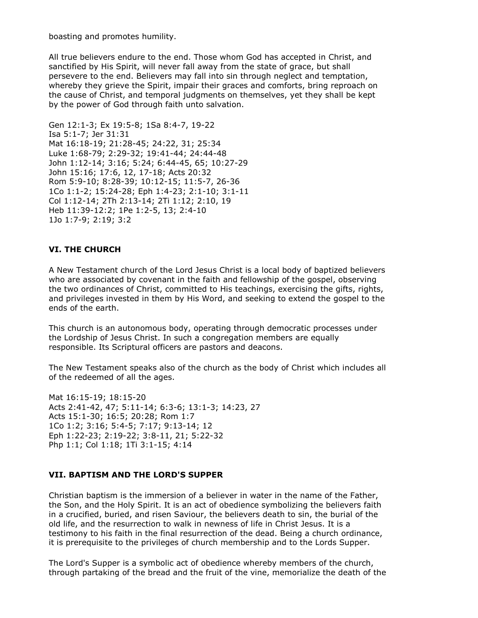boasting and promotes humility.

All true believers endure to the end. Those whom God has accepted in Christ, and sanctified by His Spirit, will never fall away from the state of grace, but shall persevere to the end. Believers may fall into sin through neglect and temptation, whereby they grieve the Spirit, impair their graces and comforts, bring reproach on the cause of Christ, and temporal judgments on themselves, yet they shall be kept by the power of God through faith unto salvation.

Gen 12:1-3; Ex 19:5-8; 1Sa 8:4-7, 19-22 Isa 5:1-7; Jer 31:31 Mat 16:18-19; 21:28-45; 24:22, 31; 25:34 Luke 1:68-79; 2:29-32; 19:41-44; 24:44-48 John 1:12-14; 3:16; 5:24; 6:44-45, 65; 10:27-29 John 15:16; 17:6, 12, 17-18; Acts 20:32 Rom 5:9-10; 8:28-39; 10:12-15; 11:5-7, 26-36 1Co 1:1-2; 15:24-28; Eph 1:4-23; 2:1-10; 3:1-11 Col 1:12-14; 2Th 2:13-14; 2Ti 1:12; 2:10, 19 Heb 11:39-12:2; 1Pe 1:2-5, 13; 2:4-10 1Jo 1:7-9; 2:19; 3:2

# VI. THE CHURCH

A New Testament church of the Lord Jesus Christ is a local body of baptized believers who are associated by covenant in the faith and fellowship of the gospel, observing the two ordinances of Christ, committed to His teachings, exercising the gifts, rights, and privileges invested in them by His Word, and seeking to extend the gospel to the ends of the earth.

This church is an autonomous body, operating through democratic processes under the Lordship of Jesus Christ. In such a congregation members are equally responsible. Its Scriptural officers are pastors and deacons.

The New Testament speaks also of the church as the body of Christ which includes all of the redeemed of all the ages.

Mat 16:15-19; 18:15-20 Acts 2:41-42, 47; 5:11-14; 6:3-6; 13:1-3; 14:23, 27 Acts 15:1-30; 16:5; 20:28; Rom 1:7 1Co 1:2; 3:16; 5:4-5; 7:17; 9:13-14; 12 Eph 1:22-23; 2:19-22; 3:8-11, 21; 5:22-32 Php 1:1; Col 1:18; 1Ti 3:1-15; 4:14

# VII. BAPTISM AND THE LORD'S SUPPER

Christian baptism is the immersion of a believer in water in the name of the Father, the Son, and the Holy Spirit. It is an act of obedience symbolizing the believers faith in a crucified, buried, and risen Saviour, the believers death to sin, the burial of the old life, and the resurrection to walk in newness of life in Christ Jesus. It is a testimony to his faith in the final resurrection of the dead. Being a church ordinance, it is prerequisite to the privileges of church membership and to the Lords Supper.

The Lord's Supper is a symbolic act of obedience whereby members of the church, through partaking of the bread and the fruit of the vine, memorialize the death of the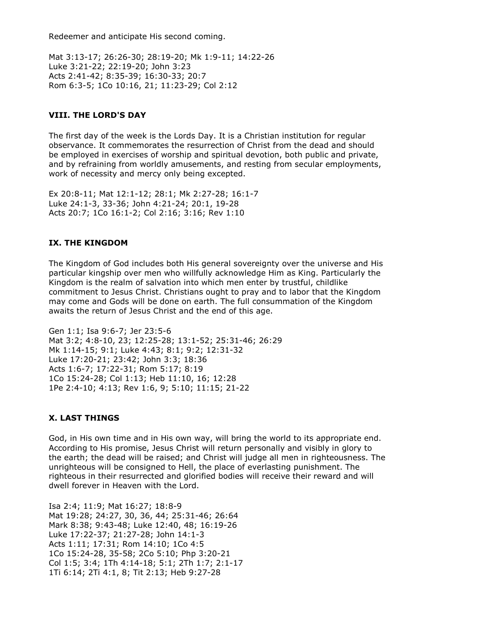Redeemer and anticipate His second coming.

Mat 3:13-17; 26:26-30; 28:19-20; Mk 1:9-11; 14:22-26 Luke 3:21-22; 22:19-20; John 3:23 Acts 2:41-42; 8:35-39; 16:30-33; 20:7 Rom 6:3-5; 1Co 10:16, 21; 11:23-29; Col 2:12

### VIII. THE LORD'S DAY

The first day of the week is the Lords Day. It is a Christian institution for regular observance. It commemorates the resurrection of Christ from the dead and should be employed in exercises of worship and spiritual devotion, both public and private, and by refraining from worldly amusements, and resting from secular employments, work of necessity and mercy only being excepted.

Ex 20:8-11; Mat 12:1-12; 28:1; Mk 2:27-28; 16:1-7 Luke 24:1-3, 33-36; John 4:21-24; 20:1, 19-28 Acts 20:7; 1Co 16:1-2; Col 2:16; 3:16; Rev 1:10

#### IX. THE KINGDOM

The Kingdom of God includes both His general sovereignty over the universe and His particular kingship over men who willfully acknowledge Him as King. Particularly the Kingdom is the realm of salvation into which men enter by trustful, childlike commitment to Jesus Christ. Christians ought to pray and to labor that the Kingdom may come and Gods will be done on earth. The full consummation of the Kingdom awaits the return of Jesus Christ and the end of this age.

Gen 1:1; Isa 9:6-7; Jer 23:5-6 Mat 3:2; 4:8-10, 23; 12:25-28; 13:1-52; 25:31-46; 26:29 Mk 1:14-15; 9:1; Luke 4:43; 8:1; 9:2; 12:31-32 Luke 17:20-21; 23:42; John 3:3; 18:36 Acts 1:6-7; 17:22-31; Rom 5:17; 8:19 1Co 15:24-28; Col 1:13; Heb 11:10, 16; 12:28 1Pe 2:4-10; 4:13; Rev 1:6, 9; 5:10; 11:15; 21-22

# X. LAST THINGS

God, in His own time and in His own way, will bring the world to its appropriate end. According to His promise, Jesus Christ will return personally and visibly in glory to the earth; the dead will be raised; and Christ will judge all men in righteousness. The unrighteous will be consigned to Hell, the place of everlasting punishment. The righteous in their resurrected and glorified bodies will receive their reward and will dwell forever in Heaven with the Lord.

Isa 2:4; 11:9; Mat 16:27; 18:8-9 Mat 19:28; 24:27, 30, 36, 44; 25:31-46; 26:64 Mark 8:38; 9:43-48; Luke 12:40, 48; 16:19-26 Luke 17:22-37; 21:27-28; John 14:1-3 Acts 1:11; 17:31; Rom 14:10; 1Co 4:5 1Co 15:24-28, 35-58; 2Co 5:10; Php 3:20-21 Col 1:5; 3:4; 1Th 4:14-18; 5:1; 2Th 1:7; 2:1-17 1Ti 6:14; 2Ti 4:1, 8; Tit 2:13; Heb 9:27-28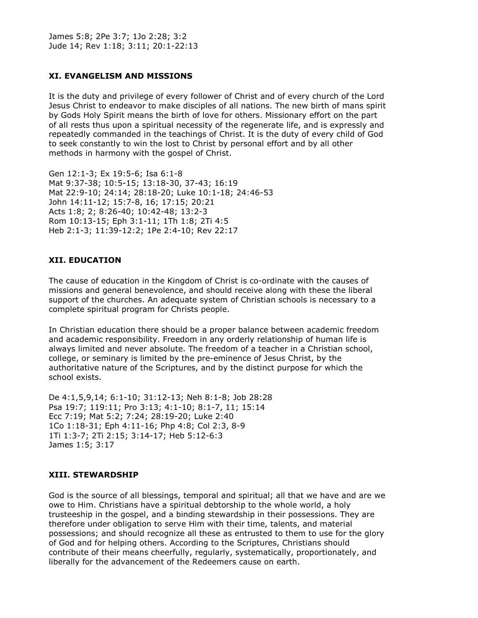James 5:8; 2Pe 3:7; 1Jo 2:28; 3:2 Jude 14; Rev 1:18; 3:11; 20:1-22:13

#### XI. EVANGELISM AND MISSIONS

It is the duty and privilege of every follower of Christ and of every church of the Lord Jesus Christ to endeavor to make disciples of all nations. The new birth of mans spirit by Gods Holy Spirit means the birth of love for others. Missionary effort on the part of all rests thus upon a spiritual necessity of the regenerate life, and is expressly and repeatedly commanded in the teachings of Christ. It is the duty of every child of God to seek constantly to win the lost to Christ by personal effort and by all other methods in harmony with the gospel of Christ.

Gen 12:1-3; Ex 19:5-6; Isa 6:1-8 Mat 9:37-38; 10:5-15; 13:18-30, 37-43; 16:19 Mat 22:9-10; 24:14; 28:18-20; Luke 10:1-18; 24:46-53 John 14:11-12; 15:7-8, 16; 17:15; 20:21 Acts 1:8; 2; 8:26-40; 10:42-48; 13:2-3 Rom 10:13-15; Eph 3:1-11; 1Th 1:8; 2Ti 4:5 Heb 2:1-3; 11:39-12:2; 1Pe 2:4-10; Rev 22:17

#### XII. EDUCATION

The cause of education in the Kingdom of Christ is co-ordinate with the causes of missions and general benevolence, and should receive along with these the liberal support of the churches. An adequate system of Christian schools is necessary to a complete spiritual program for Christs people.

In Christian education there should be a proper balance between academic freedom and academic responsibility. Freedom in any orderly relationship of human life is always limited and never absolute. The freedom of a teacher in a Christian school, college, or seminary is limited by the pre-eminence of Jesus Christ, by the authoritative nature of the Scriptures, and by the distinct purpose for which the school exists.

De 4:1,5,9,14; 6:1-10; 31:12-13; Neh 8:1-8; Job 28:28 Psa 19:7; 119:11; Pro 3:13; 4:1-10; 8:1-7, 11; 15:14 Ecc 7:19; Mat 5:2; 7:24; 28:19-20; Luke 2:40 1Co 1:18-31; Eph 4:11-16; Php 4:8; Col 2:3, 8-9 1Ti 1:3-7; 2Ti 2:15; 3:14-17; Heb 5:12-6:3 James 1:5; 3:17

#### XIII. STEWARDSHIP

God is the source of all blessings, temporal and spiritual; all that we have and are we owe to Him. Christians have a spiritual debtorship to the whole world, a holy trusteeship in the gospel, and a binding stewardship in their possessions. They are therefore under obligation to serve Him with their time, talents, and material possessions; and should recognize all these as entrusted to them to use for the glory of God and for helping others. According to the Scriptures, Christians should contribute of their means cheerfully, regularly, systematically, proportionately, and liberally for the advancement of the Redeemers cause on earth.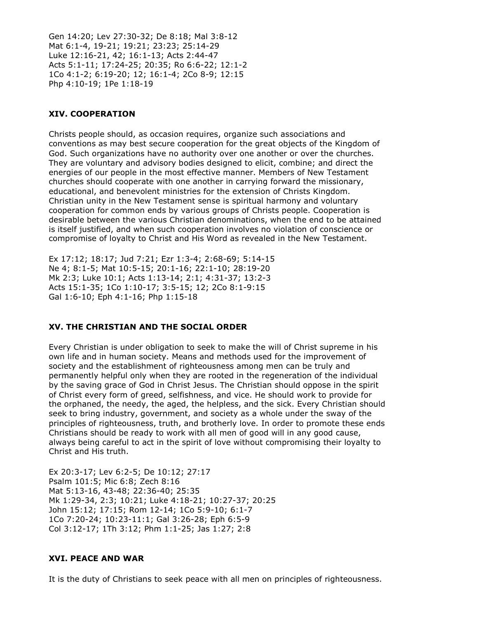Gen 14:20; Lev 27:30-32; De 8:18; Mal 3:8-12 Mat 6:1-4, 19-21; 19:21; 23:23; 25:14-29 Luke 12:16-21, 42; 16:1-13; Acts 2:44-47 Acts 5:1-11; 17:24-25; 20:35; Ro 6:6-22; 12:1-2 1Co 4:1-2; 6:19-20; 12; 16:1-4; 2Co 8-9; 12:15 Php 4:10-19; 1Pe 1:18-19

# XIV. COOPERATION

Christs people should, as occasion requires, organize such associations and conventions as may best secure cooperation for the great objects of the Kingdom of God. Such organizations have no authority over one another or over the churches. They are voluntary and advisory bodies designed to elicit, combine; and direct the energies of our people in the most effective manner. Members of New Testament churches should cooperate with one another in carrying forward the missionary, educational, and benevolent ministries for the extension of Christs Kingdom. Christian unity in the New Testament sense is spiritual harmony and voluntary cooperation for common ends by various groups of Christs people. Cooperation is desirable between the various Christian denominations, when the end to be attained is itself justified, and when such cooperation involves no violation of conscience or compromise of loyalty to Christ and His Word as revealed in the New Testament.

Ex 17:12; 18:17; Jud 7:21; Ezr 1:3-4; 2:68-69; 5:14-15 Ne 4; 8:1-5; Mat 10:5-15; 20:1-16; 22:1-10; 28:19-20 Mk 2:3; Luke 10:1; Acts 1:13-14; 2:1; 4:31-37; 13:2-3 Acts 15:1-35; 1Co 1:10-17; 3:5-15; 12; 2Co 8:1-9:15 Gal 1:6-10; Eph 4:1-16; Php 1:15-18

# XV. THE CHRISTIAN AND THE SOCIAL ORDER

Every Christian is under obligation to seek to make the will of Christ supreme in his own life and in human society. Means and methods used for the improvement of society and the establishment of righteousness among men can be truly and permanently helpful only when they are rooted in the regeneration of the individual by the saving grace of God in Christ Jesus. The Christian should oppose in the spirit of Christ every form of greed, selfishness, and vice. He should work to provide for the orphaned, the needy, the aged, the helpless, and the sick. Every Christian should seek to bring industry, government, and society as a whole under the sway of the principles of righteousness, truth, and brotherly love. In order to promote these ends Christians should be ready to work with all men of good will in any good cause, always being careful to act in the spirit of love without compromising their loyalty to Christ and His truth.

Ex 20:3-17; Lev 6:2-5; De 10:12; 27:17 Psalm 101:5; Mic 6:8; Zech 8:16 Mat 5:13-16, 43-48; 22:36-40; 25:35 Mk 1:29-34, 2:3; 10:21; Luke 4:18-21; 10:27-37; 20:25 John 15:12; 17:15; Rom 12-14; 1Co 5:9-10; 6:1-7 1Co 7:20-24; 10:23-11:1; Gal 3:26-28; Eph 6:5-9 Col 3:12-17; 1Th 3:12; Phm 1:1-25; Jas 1:27; 2:8

# XVI. PEACE AND WAR

It is the duty of Christians to seek peace with all men on principles of righteousness.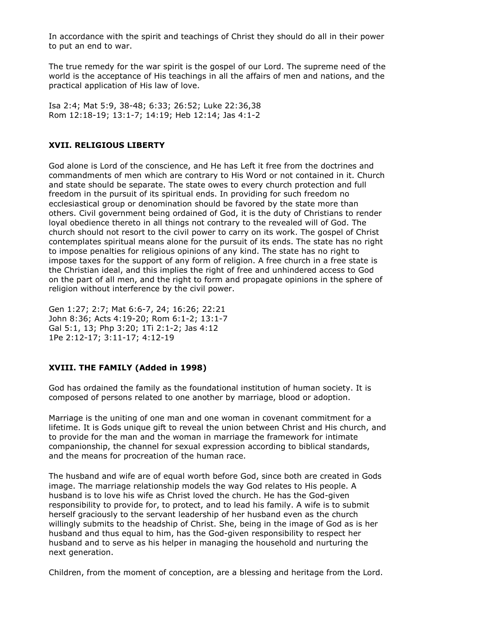In accordance with the spirit and teachings of Christ they should do all in their power to put an end to war.

The true remedy for the war spirit is the gospel of our Lord. The supreme need of the world is the acceptance of His teachings in all the affairs of men and nations, and the practical application of His law of love.

Isa 2:4; Mat 5:9, 38-48; 6:33; 26:52; Luke 22:36,38 Rom 12:18-19; 13:1-7; 14:19; Heb 12:14; Jas 4:1-2

# XVII. RELIGIOUS LIBERTY

God alone is Lord of the conscience, and He has Left it free from the doctrines and commandments of men which are contrary to His Word or not contained in it. Church and state should be separate. The state owes to every church protection and full freedom in the pursuit of its spiritual ends. In providing for such freedom no ecclesiastical group or denomination should be favored by the state more than others. Civil government being ordained of God, it is the duty of Christians to render loyal obedience thereto in all things not contrary to the revealed will of God. The church should not resort to the civil power to carry on its work. The gospel of Christ contemplates spiritual means alone for the pursuit of its ends. The state has no right to impose penalties for religious opinions of any kind. The state has no right to impose taxes for the support of any form of religion. A free church in a free state is the Christian ideal, and this implies the right of free and unhindered access to God on the part of all men, and the right to form and propagate opinions in the sphere of religion without interference by the civil power.

Gen 1:27; 2:7; Mat 6:6-7, 24; 16:26; 22:21 John 8:36; Acts 4:19-20; Rom 6:1-2; 13:1-7 Gal 5:1, 13; Php 3:20; 1Ti 2:1-2; Jas 4:12 1Pe 2:12-17; 3:11-17; 4:12-19

# XVIII. THE FAMILY (Added in 1998)

God has ordained the family as the foundational institution of human society. It is composed of persons related to one another by marriage, blood or adoption.

Marriage is the uniting of one man and one woman in covenant commitment for a lifetime. It is Gods unique gift to reveal the union between Christ and His church, and to provide for the man and the woman in marriage the framework for intimate companionship, the channel for sexual expression according to biblical standards, and the means for procreation of the human race.

The husband and wife are of equal worth before God, since both are created in Gods image. The marriage relationship models the way God relates to His people. A husband is to love his wife as Christ loved the church. He has the God-given responsibility to provide for, to protect, and to lead his family. A wife is to submit herself graciously to the servant leadership of her husband even as the church willingly submits to the headship of Christ. She, being in the image of God as is her husband and thus equal to him, has the God-given responsibility to respect her husband and to serve as his helper in managing the household and nurturing the next generation.

Children, from the moment of conception, are a blessing and heritage from the Lord.